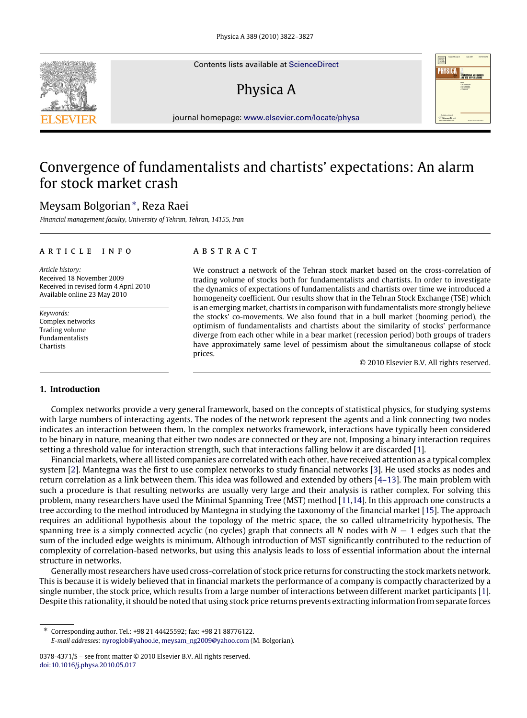Contents lists available at [ScienceDirect](http://www.elsevier.com/locate/physa)

## Physica A



### Convergence of fundamentalists and chartists' expectations: An alarm for stock market crash

### Meysam Bolgorian[∗](#page-0-0) , Reza Raei

*Financial management faculty, University of Tehran, Tehran, 14155, Iran*

#### a r t i c l e i n f o

*Article history:* Received 18 November 2009 Received in revised form 4 April 2010 Available online 23 May 2010

*Keywords:* Complex networks Trading volume Fundamentalists **Chartists** 

#### a b s t r a c t

We construct a network of the Tehran stock market based on the cross-correlation of trading volume of stocks both for fundamentalists and chartists. In order to investigate the dynamics of expectations of fundamentalists and chartists over time we introduced a homogeneity coefficient. Our results show that in the Tehran Stock Exchange (TSE) which is an emerging market, chartists in comparison with fundamentalists more strongly believe the stocks' co-movements. We also found that in a bull market (booming period), the optimism of fundamentalists and chartists about the similarity of stocks' performance diverge from each other while in a bear market (recession period) both groups of traders have approximately same level of pessimism about the simultaneous collapse of stock prices.

© 2010 Elsevier B.V. All rights reserved.

#### **1. Introduction**

Complex networks provide a very general framework, based on the concepts of statistical physics, for studying systems with large numbers of interacting agents. The nodes of the network represent the agents and a link connecting two nodes indicates an interaction between them. In the complex networks framework, interactions have typically been considered to be binary in nature, meaning that either two nodes are connected or they are not. Imposing a binary interaction requires setting a threshold value for interaction strength, such that interactions falling below it are discarded [\[1\]](#page--1-0).

Financial markets, where all listed companies are correlated with each other, have received attention as a typical complex system [\[2\]](#page--1-1). Mantegna was the first to use complex networks to study financial networks [\[3\]](#page--1-2). He used stocks as nodes and return correlation as a link between them. This idea was followed and extended by others [\[4–13\]](#page--1-3). The main problem with such a procedure is that resulting networks are usually very large and their analysis is rather complex. For solving this problem, many researchers have used the Minimal Spanning Tree (MST) method [\[11](#page--1-4)[,14\]](#page--1-5). In this approach one constructs a tree according to the method introduced by Mantegna in studying the taxonomy of the financial market [\[15\]](#page--1-6). The approach requires an additional hypothesis about the topology of the metric space, the so called ultrametricity hypothesis. The spanning tree is a simply connected acyclic (no cycles) graph that connects all *N* nodes with *N* − 1 edges such that the sum of the included edge weights is minimum. Although introduction of MST significantly contributed to the reduction of complexity of correlation-based networks, but using this analysis leads to loss of essential information about the internal structure in networks.

Generally most researchers have used cross-correlation of stock price returns for constructing the stock markets network. This is because it is widely believed that in financial markets the performance of a company is compactly characterized by a single number, the stock price, which results from a large number of interactions between different market participants [\[1\]](#page--1-0). Despite this rationality, it should be noted that using stock price returns prevents extracting information from separate forces

<span id="page-0-0"></span>∗ Corresponding author. Tel.: +98 21 44425592; fax: +98 21 88776122. *E-mail addresses:* [nyroglob@yahoo.ie,](mailto:nyroglob@yahoo.ie) [meysam\\_ng2009@yahoo.com](mailto:meysam_ng2009@yahoo.com) (M. Bolgorian).





<sup>0378-4371/\$ –</sup> see front matter © 2010 Elsevier B.V. All rights reserved. [doi:10.1016/j.physa.2010.05.017](http://dx.doi.org/10.1016/j.physa.2010.05.017)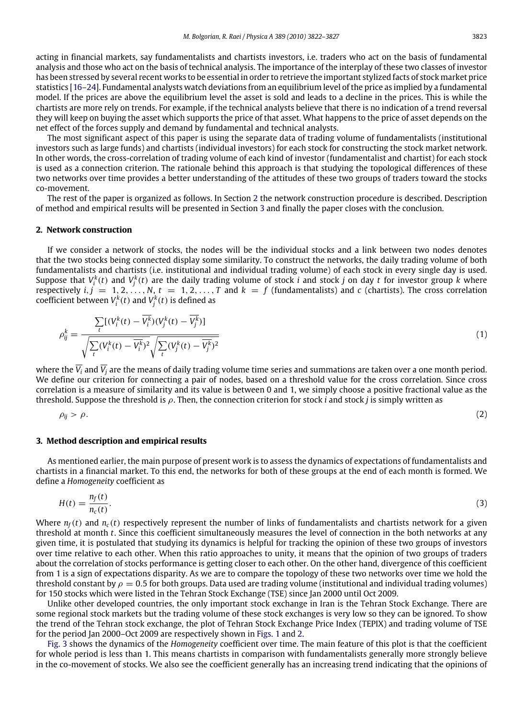acting in financial markets, say fundamentalists and chartists investors, i.e. traders who act on the basis of fundamental analysis and those who act on the basis of technical analysis. The importance of the interplay of these two classes of investor has been stressed by several recent works to be essential in order to retrieve the important stylized facts of stock market price statistics [\[16–24\]](#page--1-7). Fundamental analysts watch deviations from an equilibrium level of the price as implied by a fundamental model. If the prices are above the equilibrium level the asset is sold and leads to a decline in the prices. This is while the chartists are more rely on trends. For example, if the technical analysts believe that there is no indication of a trend reversal they will keep on buying the asset which supports the price of that asset. What happens to the price of asset depends on the net effect of the forces supply and demand by fundamental and technical analysts.

The most significant aspect of this paper is using the separate data of trading volume of fundamentalists (institutional investors such as large funds) and chartists (individual investors) for each stock for constructing the stock market network. In other words, the cross-correlation of trading volume of each kind of investor (fundamentalist and chartist) for each stock is used as a connection criterion. The rationale behind this approach is that studying the topological differences of these two networks over time provides a better understanding of the attitudes of these two groups of traders toward the stocks co-movement.

The rest of the paper is organized as follows. In Section [2](#page-1-0) the network construction procedure is described. Description of method and empirical results will be presented in Section [3](#page-1-1) and finally the paper closes with the conclusion.

#### <span id="page-1-0"></span>**2. Network construction**

If we consider a network of stocks, the nodes will be the individual stocks and a link between two nodes denotes that the two stocks being connected display some similarity. To construct the networks, the daily trading volume of both fundamentalists and chartists (i.e. institutional and individual trading volume) of each stock in every single day is used. Suppose that  $V_i^k(t)$  and  $V_j^k(t)$  are the daily trading volume of stock *i* and stock *j* on day *t* for investor group *k* where respectively  $i, j = 1, 2, \ldots, N$ ,  $t = 1, 2, \ldots, T$  and  $k = f$  (fundamentalists) and *c* (chartists). The cross correlation coefficient between  $V_i^k(t)$  and  $V_j^k(t)$  is defined as

$$
\rho_{ij}^k = \frac{\sum_{t} [(V_i^k(t) - \overline{V_i^k})(V_j^k(t) - \overline{V_j^k})]}{\sqrt{\sum_{t} (V_i^k(t) - \overline{V_i^k})^2} \sqrt{\sum_{t} (V_j^k(t) - \overline{V_j^k})^2}}
$$
(1)

where the  $\overline{V}_i$  and  $\overline{V}_i$  are the means of daily trading volume time series and summations are taken over a one month period. We define our criterion for connecting a pair of nodes, based on a threshold value for the cross correlation. Since cross correlation is a measure of similarity and its value is between 0 and 1, we simply choose a positive fractional value as the threshold. Suppose the threshold is ρ. Then, the connection criterion for stock *i* and stock *j* is simply written as

$$
\rho_{ij} > \rho. \tag{2}
$$

#### <span id="page-1-1"></span>**3. Method description and empirical results**

As mentioned earlier, the main purpose of present work is to assess the dynamics of expectations of fundamentalists and chartists in a financial market. To this end, the networks for both of these groups at the end of each month is formed. We define a *Homogeneity* coefficient as

$$
H(t) = \frac{n_f(t)}{n_c(t)}.\tag{3}
$$

Where  $n_f(t)$  and  $n_c(t)$  respectively represent the number of links of fundamentalists and chartists network for a given threshold at month *t*. Since this coefficient simultaneously measures the level of connection in the both networks at any given time, it is postulated that studying its dynamics is helpful for tracking the opinion of these two groups of investors over time relative to each other. When this ratio approaches to unity, it means that the opinion of two groups of traders about the correlation of stocks performance is getting closer to each other. On the other hand, divergence of this coefficient from 1 is a sign of expectations disparity. As we are to compare the topology of these two networks over time we hold the threshold constant by  $\rho = 0.5$  for both groups. Data used are trading volume (institutional and individual trading volumes) for 150 stocks which were listed in the Tehran Stock Exchange (TSE) since Jan 2000 until Oct 2009.

Unlike other developed countries, the only important stock exchange in Iran is the Tehran Stock Exchange. There are some regional stock markets but the trading volume of these stock exchanges is very low so they can be ignored. To show the trend of the Tehran stock exchange, the plot of Tehran Stock Exchange Price Index (TEPIX) and trading volume of TSE for the period Jan 2000–Oct 2009 are respectively shown in [Figs. 1](#page--1-8) and [2.](#page--1-9)

[Fig. 3](#page--1-10) shows the dynamics of the *Homogeneity* coefficient over time. The main feature of this plot is that the coefficient for whole period is less than 1. This means chartists in comparison with fundamentalists generally more strongly believe in the co-movement of stocks. We also see the coefficient generally has an increasing trend indicating that the opinions of